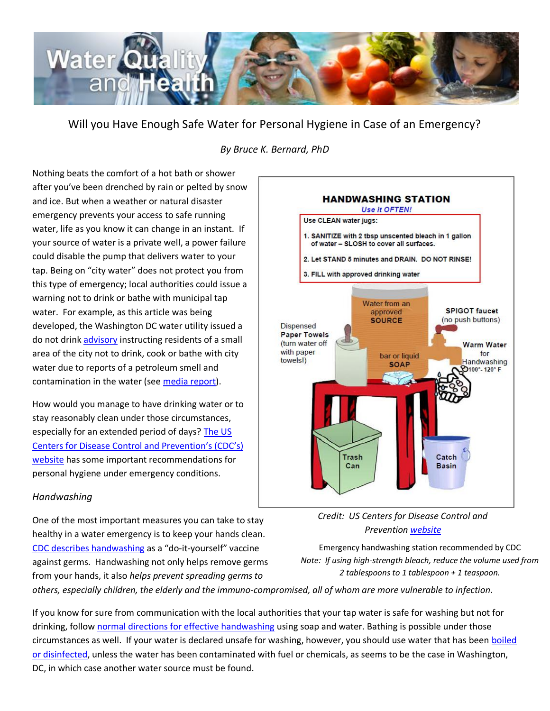

Will you Have Enough Safe Water for Personal Hygiene in Case of an Emergency?

# *By Bruce K. Bernard, PhD*

Nothing beats the comfort of a hot bath or shower after you've been drenched by rain or pelted by snow and ice. But when a weather or natural disaster emergency prevents your access to safe running water, life as you know it can change in an instant. If your source of water is a private well, a power failure could disable the pump that delivers water to your tap. Being on "city water" does not protect you from this type of emergency; local authorities could issue a warning not to drink or bathe with municipal tap water. For example, as this article was being developed, the Washington DC water utility issued a do not drink [advisory](http://www.dcwater.com/news/listings/press_release695.cfm) instructing residents of a small area of the city not to drink, cook or bathe with city water due to reports of a petroleum smell and contamination in the water (se[e media report\)](http://www.wjla.com/articles/2014/12/d-c-water-issues-do-not-drink-order-for-small-portion-of-northwest-109892.html).

How would you manage to have drinking water or to stay reasonably clean under those circumstances, especially for an extended period of days? [The US](http://emergency.cdc.gov/disasters/floods/sanitation.asp)  [Centers for Disease Control and Prevention](http://emergency.cdc.gov/disasters/floods/sanitation.asp)'s (CDC's) [website](http://emergency.cdc.gov/disasters/floods/sanitation.asp) has some important recommendations for personal hygiene under emergency conditions.

### *Handwashing*

One of the most important measures you can take to stay healthy in a water emergency is to keep your hands clean. [CDC describes handwashing](http://www.cdc.gov/handwashing/) as a "do-it-yourself" vaccine against germs. Handwashing not only helps remove germs from your hands, it also *helps prevent spreading germs to* 



*Credit: US Centers for Disease Control and Preventio[n website](http://emergency.cdc.gov/disasters/floods/sanitation.asp)*

Emergency handwashing station recommended by CDC *Note: If using high-strength bleach, reduce the volume used from 2 tablespoons to 1 tablespoon + 1 teaspoon.*

*others, especially children, the elderly and the immuno-compromised, all of whom are more vulnerable to infection.*

If you know for sure from communication with the local authorities that your tap water is safe for washing but not for drinking, follow [normal directions for effective handwashing](http://www.cdc.gov/handwashing/when-how-handwashing.html) using soap and water. Bathing is possible under those circumstances as well. If your water is declared unsafe for washing, however, you should use water that has been boiled [or disinfected,](http://www.cdc.gov/healthywater/emergency/safe_water/personal.html#make_safe_boiling) unless the water has been contaminated with fuel or chemicals, as seems to be the case in Washington, DC, in which case another water source must be found.